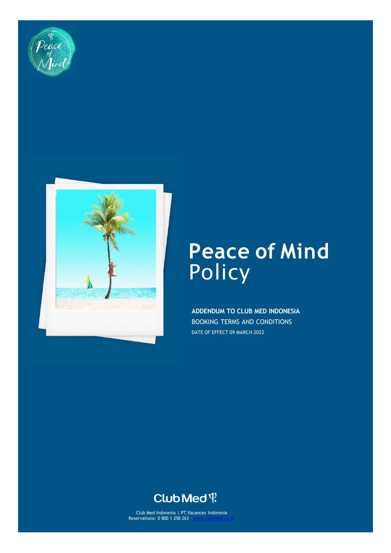



# **Peace of Mind**  Policy

**ADDENDUM TO CLUB MED INDONESIA**  BOOKING TERMS AND CONDITIONS DATE OF EFFECT 09 MARCH 2022

# Club Med ?

Club Med Indonesia | PT.Vacances Indonesia Reservations: 0 800 1 258 263 - [www.clubmed.co.id](http://www.clubmed.co.id/)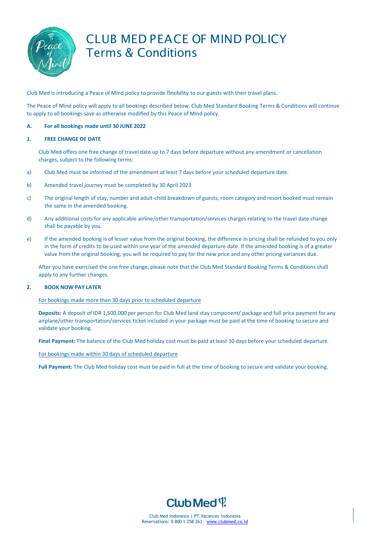

# CLUB MED PEACE OF MIND POLICY Terms & Conditions

Club Med is introducing a Peace of Mind policy to provide flexibility to our guests with their travel plans.

The Peace of Mind policy will apply to all bookings described below. Club Med Standard Booking Terms & Conditions will continue to apply to all bookings save as otherwise modified by this Peace of Mind policy.

### **A. For all bookings made until 30 JUNE 2022**

#### **1. FREE CHANGE OF DATE**

Club Med offers one free change of travel date up to 7 days before departure without any amendment or cancellation charges, subject to the following terms:

- a) Club Med must be informed of the amendment at least 7 days before your scheduled departure date.
- b) Amended travel journey must be completed by 30 April 2023
- c) The original length of stay, number and adult-child breakdown of guests, room category and resort booked must remain the same in the amended booking.
- d) Any additional costs for any applicable airline/other transportation/services charges relating to the travel date change shall be payable by you.
- e) If the amended booking is of lesser value from the original booking, the difference in pricing shall be refunded to you only in the form of credits to be used within one year of the amended departure date. If the amended booking is of a greater value from the original booking, you will be required to pay for the new price and any other pricing variances due.

After you have exercised the one free change, please note that the Club Med Standard Booking Terms & Conditions shall apply to any further changes.

### **2. BOOK NOW PAY LATER**

For bookings made more than 30 days prior to scheduled departure

**Deposits:** A deposit of IDR 1,500,000 per person for Club Med land stay component/ package and full price payment for any airplane/other transportation/services ticket included in your package must be paid at the time of booking to secure and validate your booking.

**Final Payment:** The balance of the Club Med holiday cost must be paid at least 30 days before your scheduled departure.

For bookings made within 30 days of scheduled departure

**Full Payment:** The Club Med holiday cost must be paid in full at the time of booking to secure and validate your booking.



Club Med Indonesia | PT.Vacances Indonesia Reservations: 0 800 1 258 263 – [www.clubmed.co.id](http://www.clubmed.co.id/)